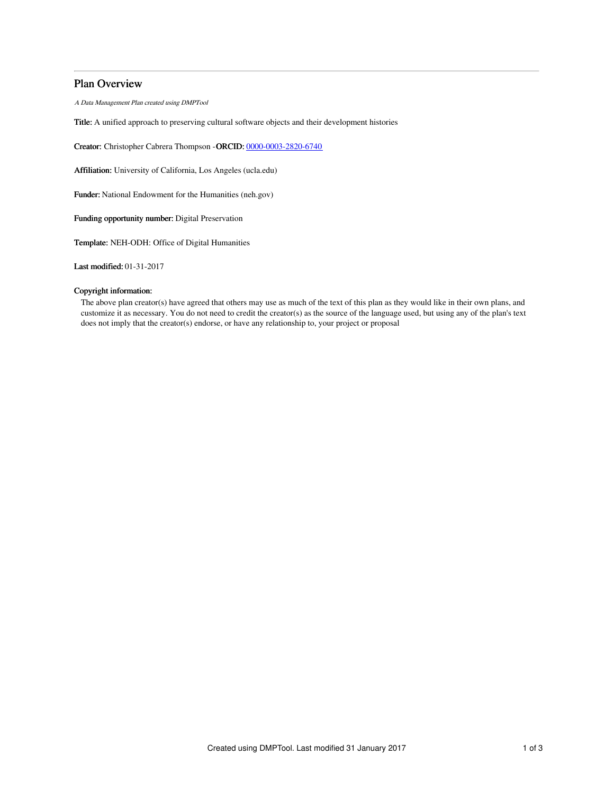# Plan Overview

A Data Management Plan created using DMPTool

Title: A unified approach to preserving cultural software objects and their development histories

Creator: Christopher Cabrera Thompson -ORCID: [0000-0003-2820-6740](https://orcid.org/0000-0003-2820-6740)

Affiliation: University of California, Los Angeles (ucla.edu)

Funder: National Endowment for the Humanities (neh.gov)

Funding opportunity number: Digital Preservation

Template: NEH-ODH: Office of Digital Humanities

Last modified: 01-31-2017

## Copyright information:

The above plan creator(s) have agreed that others may use as much of the text of this plan as they would like in their own plans, and customize it as necessary. You do not need to credit the creator(s) as the source of the language used, but using any of the plan's text does not imply that the creator(s) endorse, or have any relationship to, your project or proposal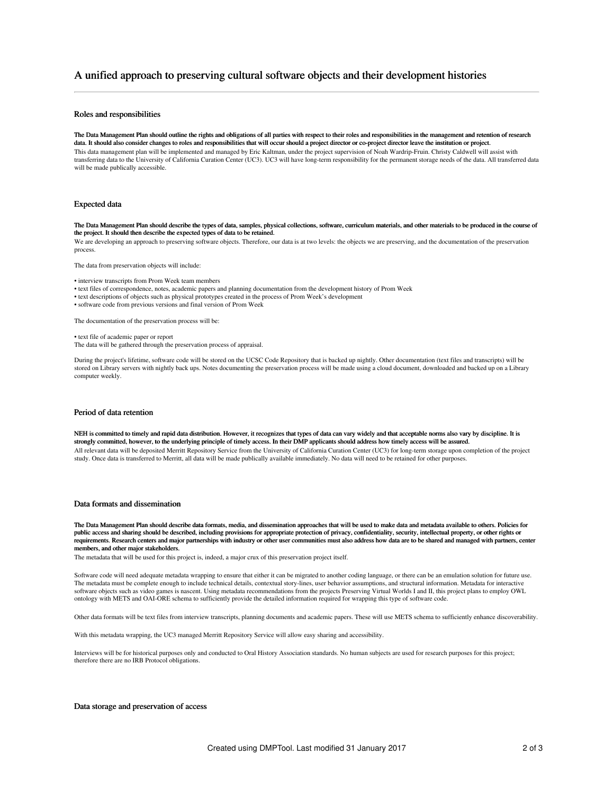# A unified approach to preserving cultural software objects and their development histories

## Roles and responsibilities

The Data Management Plan should outline the rights and obligations of all parties with respect to their roles and responsibilities in the management and retention of research data. It should also consider changes to roles and responsibilities that will occur should a project director or co-project director leave the institution or project. This data management plan will be implemented and managed by Eric Kaltman, under the project supervision of Noah Wardrip-Fruin. Christy Caldwell will assist with transferring data to the University of California Curation Center (UC3). UC3 will have long-term responsibility for the permanent storage needs of the data. All transferred data will be made publically accessible.

## Expected data

The Data Management Plan should describe the types of data, samples, physical collections, software, curriculum materials, and other materials to be produced in the course of the project. It should then describe the expected types of data to be retained.

We are developing an approach to preserving software objects. Therefore, our data is at two levels: the objects we are preserving, and the documentation of the preservation process.

The data from preservation objects will include:

- interview transcripts from Prom Week team members
- text files of correspondence, notes, academic papers and planning documentation from the development history of Prom Week
- text descriptions of objects such as physical prototypes created in the process of Prom Week's development
- software code from previous versions and final version of Prom Week

The documentation of the preservation process will be:

• text file of academic paper or report

The data will be gathered through the preservation process of appraisal.

During the project's lifetime, software code will be stored on the UCSC Code Repository that is backed up nightly. Other documentation (text files and transcripts) will be stored on Library servers with nightly back ups. Notes documenting the preservation process will be made using a cloud document, downloaded and backed up on a Library computer weekly.

## Period of data retention

NEH is committed to timely and rapid data distribution. However, it recognizes that types of data can vary widely and that acceptable norms also vary by discipline. It is strongly committed, however, to the underlying principle of timely access. In their DMP applicants should address how timely access will be assured. All relevant data will be deposited Merritt Repository Service from the University of California Curation Center (UC3) for long-term storage upon completion of the project<br>study. Once data is transferred to Merritt, all da

#### Data formats and dissemination

The Data Management Plan should describe data formats, media, and dissemination approaches that will be used to make data and metadata available to others. Policies for public access and sharing should be described, including provisions for appropriate protection of privacy, confidentiality, security, intellectual property, or other rights or requirements. Research centers and major partnerships with industry or other user communities must also address how data are to be shared and managed with partners, center members, and other major stakeholders.

The metadata that will be used for this project is, indeed, a major crux of this preservation project itself.

Software code will need adequate metadata wrapping to ensure that either it can be migrated to another coding language, or there can be an emulation solution for future use. The metadata must be complete enough to include technical details, contextual story-lines, user behavior assumptions, and structural information. Metadata for interactive software objects such as video games is nascent. Using metadata recommendations from the projects Preserving Virtual Worlds I and II, this project plans to employ OWL ontology with METS and OAI-ORE schema to sufficiently provide the detailed information required for wrapping this type of software code.

Other data formats will be text files from interview transcripts, planning documents and academic papers. These will use METS schema to sufficiently enhance discoverability.

With this metadata wrapping, the UC3 managed Merritt Repository Service will allow easy sharing and accessibility.

Interviews will be for historical purposes only and conducted to Oral History Association standards. No human subjects are used for research purposes for this project; therefore there are no IRB Protocol obligations.

### Data storage and preservation of access